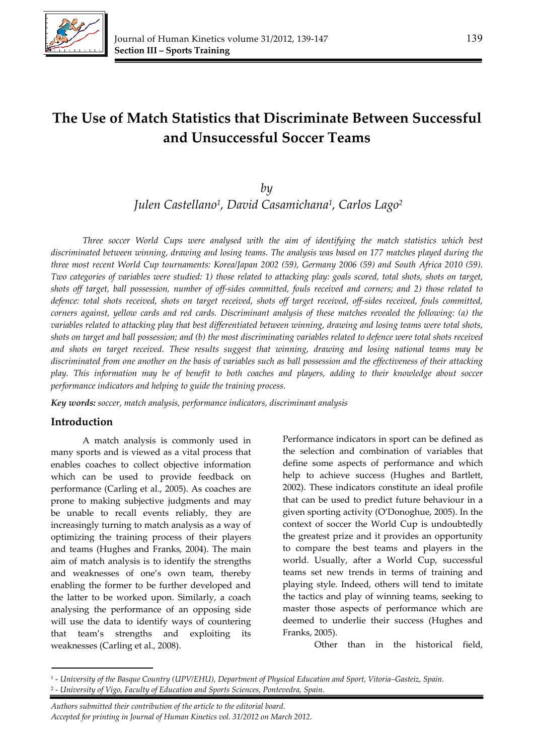

# **The Use of Match Statistics that Discriminate Between Successful and Unsuccessful Soccer Teams**

*by*

*Julen Castellano1, David Casamichana1, Carlos Lago2*

*Three soccer World Cups were analysed with the aim of identifying the match statistics which best* discriminated between winning, drawing and losing teams. The analysis was based on 177 matches played during the three most recent World Cup tournaments: Korea/Japan 2002 (59), Germany 2006 (59) and South Africa 2010 (59). Two categories of variables were studied: 1) those related to attacking play: goals scored, total shots, shots on target, shots off target, ball possession, number of off-sides committed, fouls received and corners; and 2) those related to defence: total shots received, shots on target received, shots off target received, off-sides received, fouls committed, corners against, yellow cards and red cards. Discriminant analysis of these matches revealed the following: (a) the variables related to attacking play that best differentiated between winning, drawing and losing teams were total shots, shots on target and ball possession; and (b) the most discriminating variables related to defence were total shots received and shots on target received. These results suggest that winning, drawing and losing national teams may be discriminated from one another on the basis of variables such as ball possession and the effectiveness of their attacking play. This information may be of benefit to both coaches and players, adding to their knowledge about soccer *performance indicators and helping to guide the training process.*

*Key words: soccer, match analysis, performance indicators, discriminant analysis* 

# **Introduction**

A match analysis is commonly used in many sports and is viewed as a vital process that enables coaches to collect objective information which can be used to provide feedback on performance (Carling et al., 2005). As coaches are prone to making subjective judgments and may be unable to recall events reliably, they are increasingly turning to match analysis as a way of optimizing the training process of their players and teams (Hughes and Franks, 2004). The main aim of match analysis is to identify the strengths and weaknesses of one's own team, thereby enabling the former to be further developed and the latter to be worked upon. Similarly, a coach analysing the performance of an opposing side will use the data to identify ways of countering that team's strengths and exploiting its weaknesses (Carling et al., 2008).

Performance indicators in sport can be defined as the selection and combination of variables that define some aspects of performance and which help to achieve success (Hughes and Bartlett, 2002). These indicators constitute an ideal profile that can be used to predict future behaviour in a given sporting activity (O'Donoghue, 2005). In the context of soccer the World Cup is undoubtedly the greatest prize and it provides an opportunity to compare the best teams and players in the world. Usually, after a World Cup, successful teams set new trends in terms of training and playing style. Indeed, others will tend to imitate the tactics and play of winning teams, seeking to master those aspects of performance which are deemed to underlie their success (Hughes and Franks, 2005).

Other than in the historical field,

*Authors submitted their contribution of the article to the editorial board. Accepted for printing in Journal of Human Kinetics vol. 31/2012 on March 2012.*

<sup>1</sup> ‐ *University of the Basque Country (UPV/EHU), Department of Physical Education and Sport, Vitoria–Gasteiz, Spain.* <sup>2</sup> ‐ *University of Vigo, Faculty of Education and Sports Sciences, Pontevedra, Spain.*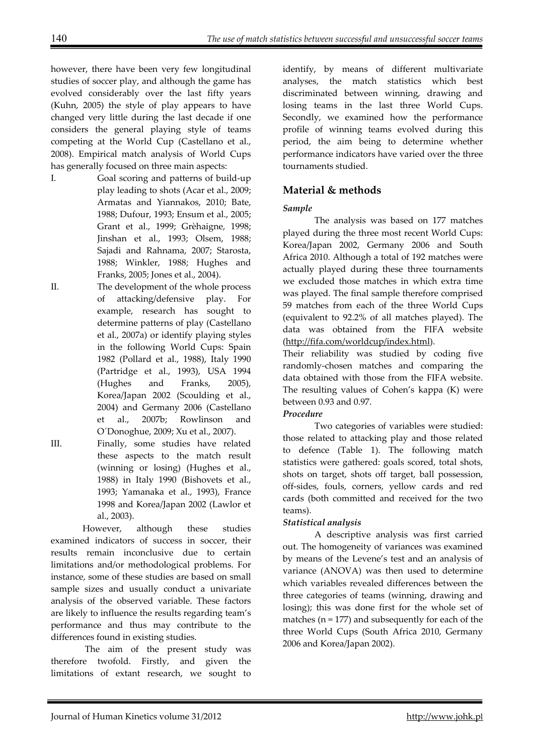however, there have been very few longitudinal studies of soccer play, and although the game has evolved considerably over the last fifty years (Kuhn, 2005) the style of play appears to have changed very little during the last decade if one considers the general playing style of teams competing at the World Cup (Castellano et al., 2008). Empirical match analysis of World Cups has generally focused on three main aspects:

- I. Goal scoring and patterns of build‐up play leading to shots (Acar et al., 2009; Armatas and Yiannakos, 2010; Bate, 1988; Dufour, 1993; Ensum et al., 2005; Grant et al., 1999; Grèhaigne, 1998; Jinshan et al., 1993; Olsem, 1988; Sajadi and Rahnama, 2007; Starosta, 1988; Winkler, 1988; Hughes and Franks, 2005; Jones et al., 2004).
- II. The development of the whole process of attacking/defensive play. For example, research has sought to determine patterns of play (Castellano et al., 2007a) or identify playing styles in the following World Cups: Spain 1982 (Pollard et al., 1988), Italy 1990 (Partridge et al., 1993), USA 1994 (Hughes and Franks, 2005), Korea/Japan 2002 (Scoulding et al., 2004) and Germany 2006 (Castellano et al., 2007b; Rowlinson and O´Donoghue, 2009; Xu et al., 2007).

III. Finally, some studies have related these aspects to the match result (winning or losing) (Hughes et al., 1988) in Italy 1990 (Bishovets et al., 1993; Yamanaka et al., 1993), France 1998 and Korea/Japan 2002 (Lawlor et al., 2003).

However, although these studies examined indicators of success in soccer, their results remain inconclusive due to certain limitations and/or methodological problems. For instance, some of these studies are based on small sample sizes and usually conduct a univariate analysis of the observed variable. These factors are likely to influence the results regarding team's performance and thus may contribute to the differences found in existing studies.

The aim of the present study was therefore twofold. Firstly, and given the limitations of extant research, we sought to

identify, by means of different multivariate analyses, the match statistics which best discriminated between winning, drawing and losing teams in the last three World Cups. Secondly, we examined how the performance profile of winning teams evolved during this period, the aim being to determine whether performance indicators have varied over the three tournaments studied.

# **Material & methods**

## *Sample*

The analysis was based on 177 matches played during the three most recent World Cups: Korea/Japan 2002, Germany 2006 and South Africa 2010. Although a total of 192 matches were actually played during these three tournaments we excluded those matches in which extra time was played. The final sample therefore comprised 59 matches from each of the three World Cups (equivalent to 92.2% of all matches played). The data was obtained from the FIFA website (http://fifa.com/worldcup/index.html).

Their reliability was studied by coding five randomly‐chosen matches and comparing the data obtained with those from the FIFA website. The resulting values of Cohen's kappa (K) were between 0.93 and 0.97.

## *Procedure*

Two categories of variables were studied: those related to attacking play and those related to defence (Table 1). The following match statistics were gathered: goals scored, total shots, shots on target, shots off target, ball possession, off‐sides, fouls, corners, yellow cards and red cards (both committed and received for the two teams).

## *Statistical analysis*

A descriptive analysis was first carried out. The homogeneity of variances was examined by means of the Levene's test and an analysis of variance (ANOVA) was then used to determine which variables revealed differences between the three categories of teams (winning, drawing and losing); this was done first for the whole set of matches ( $n = 177$ ) and subsequently for each of the three World Cups (South Africa 2010, Germany 2006 and Korea/Japan 2002).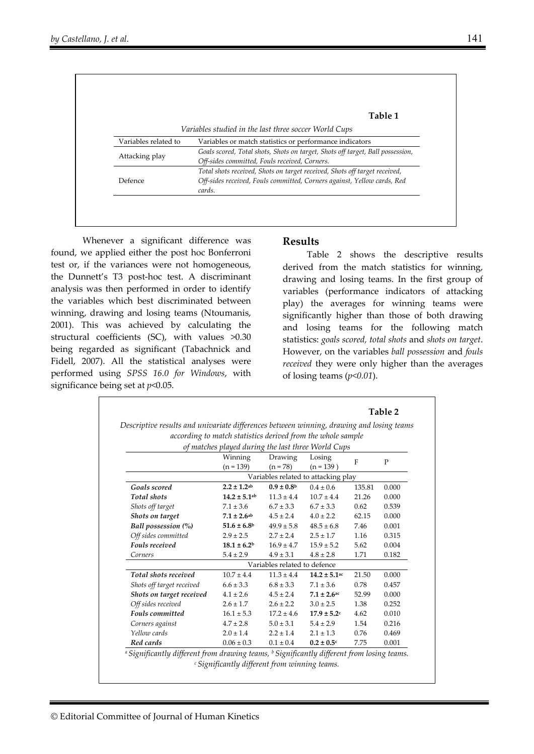|                      | Table 1                                                                                                                         |
|----------------------|---------------------------------------------------------------------------------------------------------------------------------|
|                      | Variables studied in the last three soccer World Cups                                                                           |
| Variables related to | Variables or match statistics or performance indicators                                                                         |
| Attacking play       | Goals scored, Total shots, Shots on target, Shots off target, Ball possession,<br>Off-sides committed, Fouls received, Corners. |
|                      | Total shots received, Shots on target received, Shots off target received,                                                      |
| Defence              | Off-sides received, Fouls committed, Corners against, Yellow cards, Red<br>cards.                                               |

Whenever a significant difference was found, we applied either the post hoc Bonferroni test or, if the variances were not homogeneous, the Dunnett's T3 post‐hoc test. A discriminant analysis was then performed in order to identify the variables which best discriminated between winning, drawing and losing teams (Ntoumanis, 2001). This was achieved by calculating the structural coefficients (SC), with values >0.30 being regarded as significant (Tabachnick and Fidell, 2007). All the statistical analyses were performed using *SPSS 16.0 for Windows*, with significance being set at *p*<0.05.

#### **Results**

Table 2 shows the descriptive results derived from the match statistics for winning, drawing and losing teams. In the first group of variables (performance indicators of attacking play) the averages for winning teams were significantly higher than those of both drawing and losing teams for the following match statistics: *goals scored, total shots* and *shots on target*. However, on the variables *ball possession* and *fouls received* they were only higher than the averages of losing teams (*p<0.01*).

|                           | according to match statistics derived from the whole sample |                              |                              |        |              |  |  |
|---------------------------|-------------------------------------------------------------|------------------------------|------------------------------|--------|--------------|--|--|
|                           | of matches played during the last three World Cups          |                              |                              |        |              |  |  |
|                           | Winning<br>Drawing<br>Losing<br>$\overline{F}$              |                              |                              |        |              |  |  |
|                           | $(n = 139)$                                                 | $(n = 78)$                   | $(n = 139)$                  |        | $\mathbf{P}$ |  |  |
|                           | Variables related to attacking play                         |                              |                              |        |              |  |  |
| <b>Goals</b> scored       | $2.2 \pm 1.2$ ab                                            | $0.9 \pm 0.8$                | $0.4 \pm 0.6$                | 135.81 | 0.000        |  |  |
| <b>Total</b> shots        | $14.2 \pm 5.1$ <sup>ab</sup>                                | $11.3 \pm 4.4$               | $10.7 \pm 4.4$               | 21.26  | 0.000        |  |  |
| Shots off target          | $7.1 \pm 3.6$                                               | $6.7 \pm 3.3$                | $6.7 \pm 3.3$                | 0.62   | 0.539        |  |  |
| Shots on target           | $7.1 \pm 2.6^{ab}$                                          | $4.5 \pm 2.4$                | $4.0 \pm 2.2$                | 62.15  | 0.000        |  |  |
| Ball possession (%)       | $51.6 \pm 6.8^{\rm b}$                                      | $49.9 \pm 5.8$               | $48.5 \pm 6.8$               | 7.46   | 0.001        |  |  |
| Off sides committed       | $2.9 \pm 2.5$                                               | $2.7 \pm 2.4$                | $2.5 \pm 1.7$                | 1.16   | 0.315        |  |  |
| <b>Fouls received</b>     | $18.1 \pm 6.2^b$                                            | $16.9 \pm 4.7$               | $15.9 \pm 5.2$               | 5.62   | 0.004        |  |  |
| Corners                   | $5.4 \pm 2.9$                                               | $4.9 \pm 3.1$                | $4.8 \pm 2.8$                | 1.71   | 0.182        |  |  |
|                           |                                                             | Variables related to defence |                              |        |              |  |  |
| Total shots received      | $10.7 \pm 4.4$                                              | $11.3 \pm 4.4$               | $14.2 \pm 5.1$ <sup>ac</sup> | 21.50  | 0.000        |  |  |
| Shots off target received | $6.6 \pm 3.3$                                               | $6.8 \pm 3.3$                | $7.1 \pm 3.6$                | 0.78   | 0.457        |  |  |
| Shots on target received  | $4.1 \pm 2.6$                                               | $4.5 \pm 2.4$                | $7.1 \pm 2.6$ <sub>ac</sub>  | 52.99  | 0.000        |  |  |
| Off sides received        | $2.6 \pm 1.7$                                               | $2.6 \pm 2.2$                | $3.0 \pm 2.5$                | 1.38   | 0.252        |  |  |
| <b>Fouls</b> committed    | $16.1 \pm 5.3$                                              | $17.2 \pm 4.6$               | $17.9 \pm 5.2$ c             | 4.62   | 0.010        |  |  |
| Corners against           | $4.7 \pm 2.8$                                               | $5.0 \pm 3.1$                | $5.4 \pm 2.9$                | 1.54   | 0.216        |  |  |
| Yellow cards              | $2.0 \pm 1.4$                                               | $2.2 \pm 1.4$                | $2.1 \pm 1.3$                | 0.76   | 0.469        |  |  |
| Red cards                 | $0.06 \pm 0.3$                                              | $0.1 \pm 0.4$                | $0.2 \pm 0.5$ <sup>c</sup>   | 7.75   | 0.001        |  |  |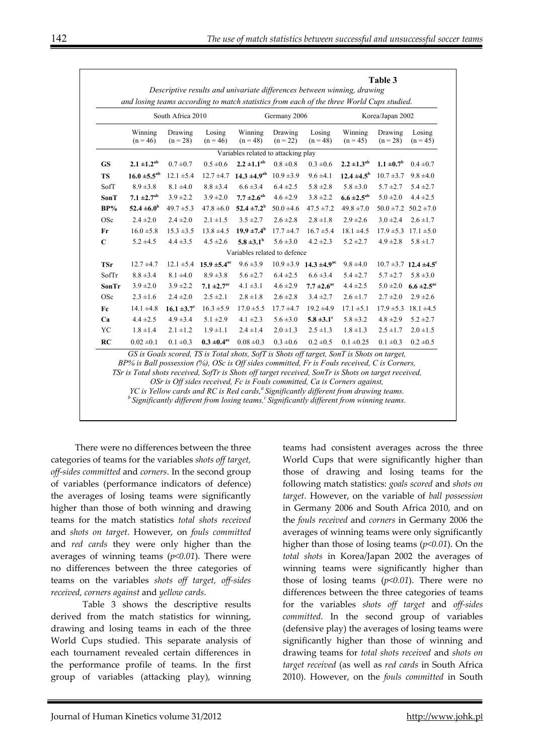|             |                                                                                           |                             |                             | Descriptive results and univariate differences between winning, drawing |                       |                        |                        | Table 3                         |                           |
|-------------|-------------------------------------------------------------------------------------------|-----------------------------|-----------------------------|-------------------------------------------------------------------------|-----------------------|------------------------|------------------------|---------------------------------|---------------------------|
|             | and losing teams according to match statistics from each of the three World Cups studied. |                             |                             |                                                                         |                       |                        |                        |                                 |                           |
|             | South Africa 2010                                                                         |                             | Germany 2006                |                                                                         |                       | Korea/Japan 2002       |                        |                                 |                           |
|             | Winning<br>$(n = 46)$                                                                     | Drawing<br>$(n = 28)$       | Losing<br>$(n = 46)$        | Winning<br>$(n = 48)$                                                   | Drawing<br>$(n = 22)$ | Losing<br>$(n = 48)$   | Winning<br>$(n = 45)$  | Drawing<br>$(n = 28)$           | Losing<br>$(n = 45)$      |
|             |                                                                                           |                             |                             | Variables related to attacking play                                     |                       |                        |                        |                                 |                           |
| <b>GS</b>   | $2.1 \pm 1.2^{ab}$                                                                        | $0.7 \pm 0.7$               | $0.5 \pm 0.6$               | $2.2 \pm 1.1^{ab}$                                                      | $0.8 \pm 0.8$         | $0.3 \pm 0.6$          | $2.2 \pm 1.3^{ab}$     | $1.1 \pm 0.7^{\rm b}$           | $0.4 \pm 0.7$             |
| <b>TS</b>   | $16.0 \pm 5.5^{ab}$                                                                       | $12.1 \pm 5.4$              | $12.7 \pm 4.7$              | $14.3 \pm 4.9^{ab}$                                                     | $10.9 \pm 3.9$        | $9.6 \pm 4.1$          | $12.4 \pm 4.5^{\rm b}$ | $10.7 \pm 3.7$                  | $9.8 \pm 4.0$             |
| SofT        | $8.9 \pm 3.8$                                                                             | $8.1 \pm 4.0$               | $8.8 \pm 3.4$               | $6.6 \pm 3.4$                                                           | $6.4 \pm 2.5$         | $5.8 \pm 2.8$          | $5.8 \pm 3.0$          | $5.7 \pm 2.7$                   | $5.4 \pm 2.7$             |
| SonT        | $7.1 \pm 2.7^{ab}$                                                                        | $3.9 \pm 2.2$               | $3.9 \pm 2.0$               | $7.7 \pm 2.6^{ab}$                                                      | $4.6 \pm 2.9$         | $3.8 \pm 2.2$          | $6.6 \pm 2.5^{ab}$     | $5.0 \pm 2.0$                   | $4.4 \pm 2.5$             |
| BP%         | $52.4 \pm 6.0^b$                                                                          | $49.7 \pm 5.3$              | $47.8 \pm 6.0$              | $52.4 \pm 7.2^b$                                                        | $50.0 \pm 4.6$        | $47.5 \pm 7.2$         | $49.8 \pm 7.0$         | $50.0 \pm 7.2$                  | $50.2 \pm 7.0$            |
| OSc         | $2.4 \pm 2.0$                                                                             | $2.4 \pm 2.0$               | $2.1 \pm 1.5$               | $3.5 \pm 2.7$                                                           | $2.6 \pm 2.8$         | $2.8 \pm 1.8$          | $2.9 \pm 2.6$          | $3.0 \pm 2.4$                   | $2.6 \pm 1.7$             |
| Fr          | $16.0 \pm 5.8$                                                                            | $15.3 \pm 3.5$              | $13.8 \pm 4.5$              | $19.9 \pm 7.4^{\rm b}$                                                  | $17.7 \pm 4.7$        | $16.7 \pm 5.4$         | $18.1 \pm 4.5$         | $17.9 \pm 5.3$                  | $17.1 \pm 5.0$            |
| $\mathbf C$ | $5.2 \pm 4.5$                                                                             | $4.4 \pm 3.5$               | $4.5 \pm 2.6$               | $5.8 \pm 3.1^{\rm b}$                                                   | $5.6 \pm 3.0$         | $4.2 \pm 2.3$          | $5.2 \pm 2.7$          | $4.9 \pm 2.8$                   | $5.8 \pm 1.7$             |
|             |                                                                                           |                             |                             | Variables related to defence                                            |                       |                        |                        |                                 |                           |
| <b>TSr</b>  | $12.7 \pm 4.7$                                                                            | $12.1 \pm 5.4$              | $15.9 \pm 5.4^{\circ}$      | $9.6 \pm 3.9$                                                           | $10.9 \pm 3.9$        | $14.3 \pm 4.9^{\circ}$ | $9.8 \pm 4.0$          | $10.7 \pm 3.7$ 12.4 $\pm 4.5$ ° |                           |
| SofTr       | $8.8 \pm 3.4$                                                                             | $8.1 \pm 4.0$               | $8.9 \pm 3.8$               | $5.6 \pm 2.7$                                                           | $6.4 \pm 2.5$         | $6.6 \pm 3.4$          | $5.4 \pm 2.7$          | $5.7 \pm 2.7$                   | $5.8 \pm 3.0$             |
| SonTr       | $3.9 \pm 2.0$                                                                             | $3.9 \pm 2.2$               | $7.1 \pm 2.7$ <sup>ac</sup> | $4.1 \pm 3.1$                                                           | $4.6 \pm 2.9$         | $7.7 \pm 2.6^{\circ}$  | $4.4 \pm 2.5$          | $5.0 \pm 2.0$                   | $6.6 \pm 2.5^{\text{ac}}$ |
| OSc         | $2.3 \pm 1.6$                                                                             | $2.4 \pm 2.0$               | $2.5 \pm 2.1$               | $2.8 \pm 1.8$                                                           | $2.6 \pm 2.8$         | $3.4 \pm 2.7$          | $2.6 \pm 1.7$          | $2.7 \pm 2.0$                   | $2.9 \pm 2.6$             |
| Fc          | $14.1 \pm 4.8$                                                                            | $16.1 \pm 3.7$ <sup>c</sup> | $16.3 \pm 5.9$              | $17.0 \pm 5.5$                                                          | $17.7 \pm 4.7$        | $19.2 \pm 4.9$         | $17.1 \pm 5.1$         | $17.9 \pm 5.3$                  | $18.1 \pm 4.5$            |
| Ca          | $4.4 \pm 2.5$                                                                             | $4.9 \pm 3.4$               | $5.1 \pm 2.9$               | $4.1 \pm 2.3$                                                           | $5.6 \pm 3.0$         | $5.8 \pm 3.1$ °        | $5.8 \pm 3.2$          | $4.8 \pm 2.9$                   | $5.2 \pm 2.7$             |
| YC          | $1.8 \pm 1.4$                                                                             | $2.1 \pm 1.2$               | $1.9 \pm 1.1$               | $2.4 \pm 1.4$                                                           | $2.0 \pm 1.3$         | $2.5 \pm 1.3$          | $1.8 \pm 1.3$          | $2.5 \pm 1.7$                   | $2.0 \pm 1.5$             |
| RC          | $0.02 \pm 0.1$                                                                            | $0.1 \pm 0.3$               | $0.3 \pm 0.4^{\text{ac}}$   | $0.08 \pm 0.3$                                                          | $0.3 \pm 0.6$         | $0.2 \pm 0.5$          | $0.1 \pm 0.25$         | $0.1 \pm 0.3$                   | $0.2 \pm 0.5$             |

*BP% is Ball possession (%), OSc is Off sides committed, Fr is Fouls received, C is Corners,* 

*TSr is Total shots received, SofTr is Shots off target received, SonTr is Shots on target received,* 

*OSr is Off sides received, Fc is Fouls committed, Ca is Corners against,* 

*YC is Yellow cards and RC is Red cards,<sup><i>a*</sup> Significantly different from drawing teams.<br><sup>b</sup> Significantly different from losing teams,<sup>c</sup> Significantly different from winning teams.

There were no differences between the three categories of teams for the variables *shots off target, off‐sides committed* and *corners*. In the second group of variables (performance indicators of defence) the averages of losing teams were significantly higher than those of both winning and drawing teams for the match statistics *total shots received* and *shots on target*. However, on *fouls committed* and *red cards* they were only higher than the averages of winning teams (*p<0.01*). There were no differences between the three categories of teams on the variables *shots off target, off‐sides received, corners against* and *yellow cards*.

Table 3 shows the descriptive results derived from the match statistics for winning, drawing and losing teams in each of the three World Cups studied. This separate analysis of each tournament revealed certain differences in the performance profile of teams. In the first group of variables (attacking play), winning

teams had consistent averages across the three World Cups that were significantly higher than those of drawing and losing teams for the following match statistics: *goals scored* and *shots on target*. However, on the variable of *ball possession* in Germany 2006 and South Africa 2010, and on the *fouls received* and *corners* in Germany 2006 the averages of winning teams were only significantly higher than those of losing teams (*p<0.01*). On the *total shots* in Korea/Japan 2002 the averages of winning teams were significantly higher than those of losing teams (*p<0.01*). There were no differences between the three categories of teams for the variables *shots off target* and *off‐sides committed*. In the second group of variables (defensive play) the averages of losing teams were significantly higher than those of winning and drawing teams for *total shots received* and *shots on target received* (as well as *red cards* in South Africa 2010). However, on the *fouls committed* in South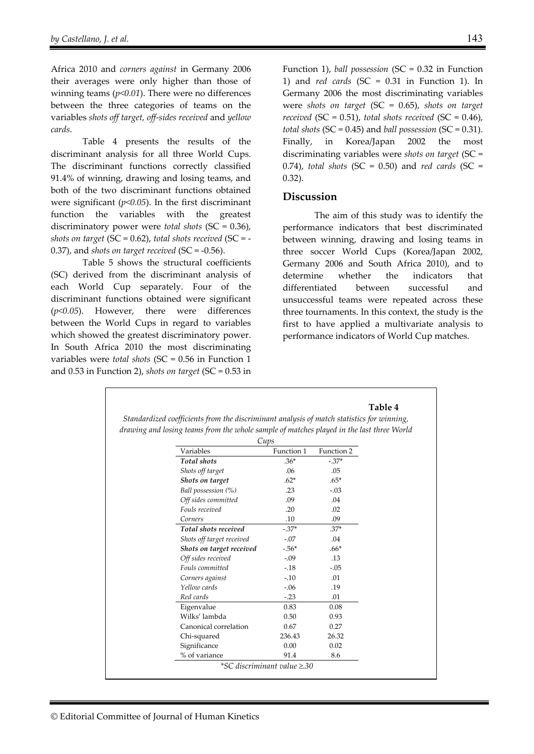Africa 2010 and *corners against* in Germany 2006 their averages were only higher than those of winning teams (*p<0.01*). There were no differences between the three categories of teams on the variables *shots off target, off‐sides received* and *yellow cards*.

Table 4 presents the results of the discriminant analysis for all three World Cups. The discriminant functions correctly classified 91.4% of winning, drawing and losing teams, and both of the two discriminant functions obtained were significant (*p<0.05*). In the first discriminant function the variables with the greatest discriminatory power were *total shots* (SC = 0.36), *shots on target* (SC = 0.62), *total shots received* (SC = ‐ 0.37), and *shots on target received* (SC = ‐0.56).

Table 5 shows the structural coefficients (SC) derived from the discriminant analysis of each World Cup separately. Four of the discriminant functions obtained were significant (*p<0.05*). However, there were differences between the World Cups in regard to variables which showed the greatest discriminatory power. In South Africa 2010 the most discriminating variables were *total shots* (SC = 0.56 in Function 1 and 0.53 in Function 2), *shots on target* (SC = 0.53 in

Function 1), *ball possession* (SC = 0.32 in Function 1) and *red cards* (SC = 0.31 in Function 1). In Germany 2006 the most discriminating variables were *shots on target* (SC = 0.65), *shots on target received* (SC = 0.51), *total shots received* (SC = 0.46), *total shots* (SC = 0.45) and *ball possession* (SC = 0.31). Finally, in Korea/Japan 2002 the most discriminating variables were *shots on target* (SC = 0.74), *total shots* (SC = 0.50) and *red cards* (SC = 0.32).

## **Discussion**

The aim of this study was to identify the performance indicators that best discriminated between winning, drawing and losing teams in three soccer World Cups (Korea/Japan 2002, Germany 2006 and South Africa 2010), and to determine whether the indicators that differentiated between successful and unsuccessful teams were repeated across these three tournaments. In this context, the study is the first to have applied a multivariate analysis to performance indicators of World Cup matches.

| drawing and losing teams from the whole sample of matches played in the last three World | Cups       |            |  |
|------------------------------------------------------------------------------------------|------------|------------|--|
| Variables                                                                                | Function 1 | Function 2 |  |
| <b>Total</b> shots                                                                       | $.36*$     | $-.37*$    |  |
| Shots off target                                                                         | .06        | .05        |  |
| Shots on target                                                                          | $.62*$     | $.65*$     |  |
| Ball possession (%)                                                                      | .23        | $-.03$     |  |
| Off sides committed                                                                      | .09        | .04        |  |
| Fouls received                                                                           | .20        | .02        |  |
| Corners                                                                                  | .10        | .09        |  |
| <b>Total shots received</b>                                                              | $-.37*$    | $.37*$     |  |
| Shots off target received                                                                | $-.07$     | .04        |  |
| Shots on target received                                                                 | $-.56*$    | $.66*$     |  |
| Off sides received                                                                       | $-.09$     | .13        |  |
| Fouls committed                                                                          | $-.18$     | $-.05$     |  |
| Corners against                                                                          | $-.10$     | .01        |  |
| Yellow cards                                                                             | $-.06$     | .19        |  |
| Red cards                                                                                | $-.23$     | .01        |  |
| Eigenvalue                                                                               | 0.83       | 0.08       |  |
| Wilks' lambda                                                                            | 0.50       | 0.93       |  |
| Canonical correlation                                                                    | 0.67       | 0.27       |  |
| Chi-squared                                                                              | 236.43     | 26.32      |  |
| Significance                                                                             | 0.00       | 0.02       |  |
| % of variance                                                                            | 91.4       | 8.6        |  |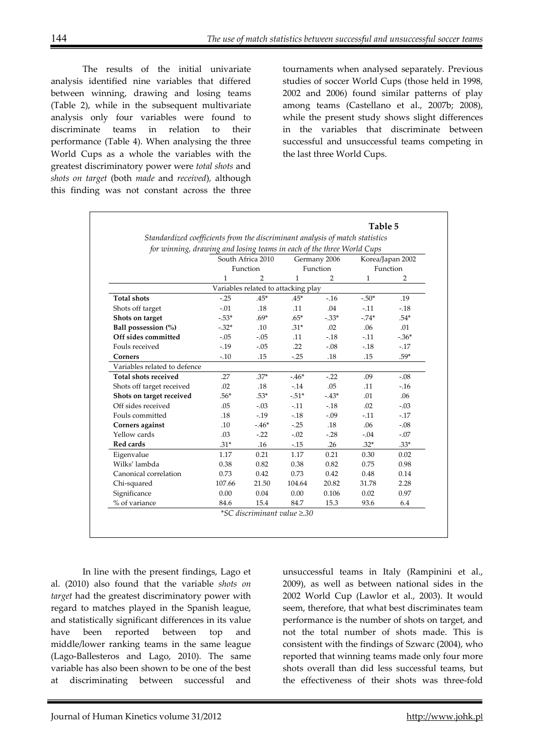The results of the initial univariate analysis identified nine variables that differed between winning, drawing and losing teams (Table 2), while in the subsequent multivariate analysis only four variables were found to discriminate teams in relation to their performance (Table 4). When analysing the three World Cups as a whole the variables with the greatest discriminatory power were *total shots* and *shots on target* (both *made* and *received*)*,* although this finding was not constant across the three

tournaments when analysed separately. Previous studies of soccer World Cups (those held in 1998, 2002 and 2006) found similar patterns of play among teams (Castellano et al., 2007b; 2008), while the present study shows slight differences in the variables that discriminate between successful and unsuccessful teams competing in the last three World Cups.

| Standardized coefficients from the discriminant analysis of match statistics<br>for winning, drawing and losing teams in each of the three World Cups |          |                                     |          |                |          |                  |
|-------------------------------------------------------------------------------------------------------------------------------------------------------|----------|-------------------------------------|----------|----------------|----------|------------------|
|                                                                                                                                                       |          | South Africa 2010                   |          | Germany 2006   |          | Korea/Japan 2002 |
|                                                                                                                                                       | Function |                                     | Function |                | Function |                  |
|                                                                                                                                                       | 1        | 2                                   | 1        | $\overline{2}$ | 1        | $\overline{2}$   |
|                                                                                                                                                       |          | Variables related to attacking play |          |                |          |                  |
| <b>Total shots</b>                                                                                                                                    | $-.25$   | $.45*$                              | $.45*$   | $-16$          | $-.50*$  | .19              |
| Shots off target                                                                                                                                      | $-.01$   | .18                                 | .11      | .04            | $-11$    | $-18$            |
| Shots on target                                                                                                                                       | $-53*$   | $.69*$                              | $.65*$   | $-.33*$        | $-.74*$  | $.54*$           |
| Ball possession (%)                                                                                                                                   | $-.32*$  | .10                                 | $.31*$   | .02            | .06      | .01              |
| Off sides committed                                                                                                                                   | $-.05$   | $-.05$                              | .11      | $-.18$         | $-.11$   | $-.36*$          |
| Fouls received                                                                                                                                        | $-19$    | $-.05$                              | .22      | $-.08$         | $-18$    | $-.17$           |
| Corners                                                                                                                                               | $-.10$   | .15                                 | $-.25$   | .18            | .15      | .59*             |
| Variables related to defence                                                                                                                          |          |                                     |          |                |          |                  |
| <b>Total shots received</b>                                                                                                                           | .27      | $.37*$                              | $-46*$   | $-.22$         | .09      | $-.08$           |
| Shots off target received                                                                                                                             | .02      | .18                                 | $-14$    | .05            | .11      | $-16$            |
| Shots on target received                                                                                                                              | $.56*$   | $.53*$                              | $-.51*$  | $-.43*$        | .01      | .06              |
| Off sides received                                                                                                                                    | .05      | $-.03$                              | $-11$    | $-18$          | .02      | $-.03$           |
| Fouls committed                                                                                                                                       | .18      | $-.19$                              | $-18$    | $-.09$         | $-.11$   | $-17$            |
| Corners against                                                                                                                                       | .10      | $-46*$                              | $-25$    | .18            | .06      | $-.08$           |
| Yellow cards                                                                                                                                          | .03      | $-.22$                              | $-.02$   | $-.28$         | $-.04$   | $-.07$           |
| Red cards                                                                                                                                             | $.31*$   | .16                                 | $-.15$   | .26            | $.32*$   | $.33*$           |
| Eigenvalue                                                                                                                                            | 1.17     | 0.21                                | 1.17     | 0.21           | 0.30     | 0.02             |
| Wilks' lambda                                                                                                                                         | 0.38     | 0.82                                | 0.38     | 0.82           | 0.75     | 0.98             |
| Canonical correlation                                                                                                                                 | 0.73     | 0.42                                | 0.73     | 0.42           | 0.48     | 0.14             |
| Chi-squared                                                                                                                                           | 107.66   | 21.50                               | 104.64   | 20.82          | 31.78    | 2.28             |
| Significance                                                                                                                                          | 0.00     | 0.04                                | 0.00     | 0.106          | 0.02     | 0.97             |
| % of variance                                                                                                                                         | 84.6     | 15.4                                | 84.7     | 15.3           | 93.6     | 6.4              |

In line with the present findings, Lago et al. (2010) also found that the variable *shots on target* had the greatest discriminatory power with regard to matches played in the Spanish league, and statistically significant differences in its value have been reported between top and middle/lower ranking teams in the same league (Lago‐Ballesteros and Lago, 2010). The same variable has also been shown to be one of the best at discriminating between successful and

unsuccessful teams in Italy (Rampinini et al., 2009), as well as between national sides in the 2002 World Cup (Lawlor et al., 2003). It would seem, therefore, that what best discriminates team performance is the number of shots on target, and not the total number of shots made. This is consistent with the findings of Szwarc (2004), who reported that winning teams made only four more shots overall than did less successful teams, but the effectiveness of their shots was three‐fold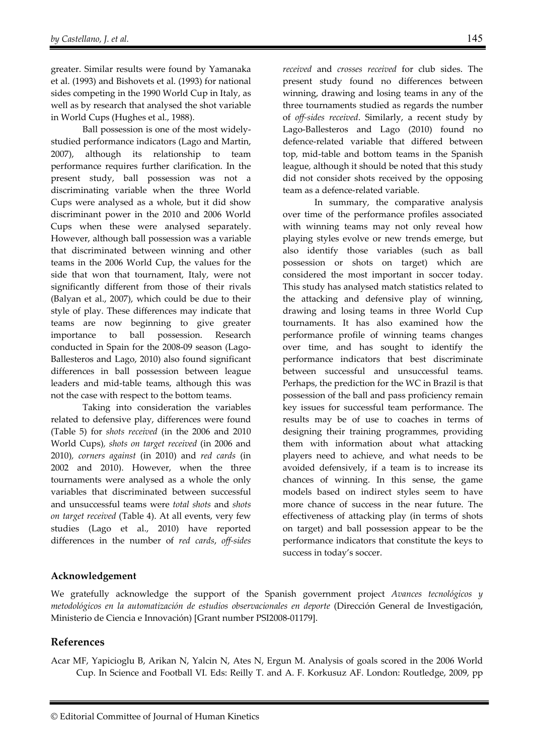greater. Similar results were found by Yamanaka et al. (1993) and Bishovets et al. (1993) for national sides competing in the 1990 World Cup in Italy, as well as by research that analysed the shot variable in World Cups (Hughes et al., 1988).

Ball possession is one of the most widely‐ studied performance indicators (Lago and Martin, 2007), although its relationship to team performance requires further clarification. In the present study, ball possession was not a discriminating variable when the three World Cups were analysed as a whole, but it did show discriminant power in the 2010 and 2006 World Cups when these were analysed separately. However, although ball possession was a variable that discriminated between winning and other teams in the 2006 World Cup, the values for the side that won that tournament, Italy, were not significantly different from those of their rivals (Balyan et al., 2007), which could be due to their style of play. These differences may indicate that teams are now beginning to give greater importance to ball possession. Research conducted in Spain for the 2008‐09 season (Lago‐ Ballesteros and Lago, 2010) also found significant differences in ball possession between league leaders and mid‐table teams, although this was not the case with respect to the bottom teams.

Taking into consideration the variables related to defensive play, differences were found (Table 5) for *shots received* (in the 2006 and 2010 World Cups)*, shots on target received* (in 2006 and 2010)*, corners against* (in 2010) and *red cards* (in 2002 and 2010). However, when the three tournaments were analysed as a whole the only variables that discriminated between successful and unsuccessful teams were *total shots* and *shots on target received* (Table 4). At all events, very few studies (Lago et al., 2010) have reported differences in the number of *red cards*, *off‐sides* 

*received* and *crosses received* for club sides. The present study found no differences between winning, drawing and losing teams in any of the three tournaments studied as regards the number of *off‐sides received*. Similarly, a recent study by Lago‐Ballesteros and Lago (2010) found no defence‐related variable that differed between top, mid‐table and bottom teams in the Spanish league, although it should be noted that this study did not consider shots received by the opposing team as a defence‐related variable.

In summary, the comparative analysis over time of the performance profiles associated with winning teams may not only reveal how playing styles evolve or new trends emerge, but also identify those variables (such as ball possession or shots on target) which are considered the most important in soccer today. This study has analysed match statistics related to the attacking and defensive play of winning, drawing and losing teams in three World Cup tournaments. It has also examined how the performance profile of winning teams changes over time, and has sought to identify the performance indicators that best discriminate between successful and unsuccessful teams. Perhaps, the prediction for the WC in Brazil is that possession of the ball and pass proficiency remain key issues for successful team performance. The results may be of use to coaches in terms of designing their training programmes, providing them with information about what attacking players need to achieve, and what needs to be avoided defensively, if a team is to increase its chances of winning. In this sense, the game models based on indirect styles seem to have more chance of success in the near future. The effectiveness of attacking play (in terms of shots on target) and ball possession appear to be the performance indicators that constitute the keys to success in today's soccer.

## **Acknowledgement**

We gratefully acknowledge the support of the Spanish government project *Avances tecnológicos y metodológicos en la automatización de estudios observacionales en deporte* (Dirección General de Investigación, Ministerio de Ciencia e Innovación) [Grant number PSI2008‐01179].

# **References**

Acar MF, Yapicioglu B, Arikan N, Yalcin N, Ates N, Ergun M. Analysis of goals scored in the 2006 World Cup. In Science and Football VI. Eds: Reilly T. and A. F. Korkusuz AF. London: Routledge, 2009, pp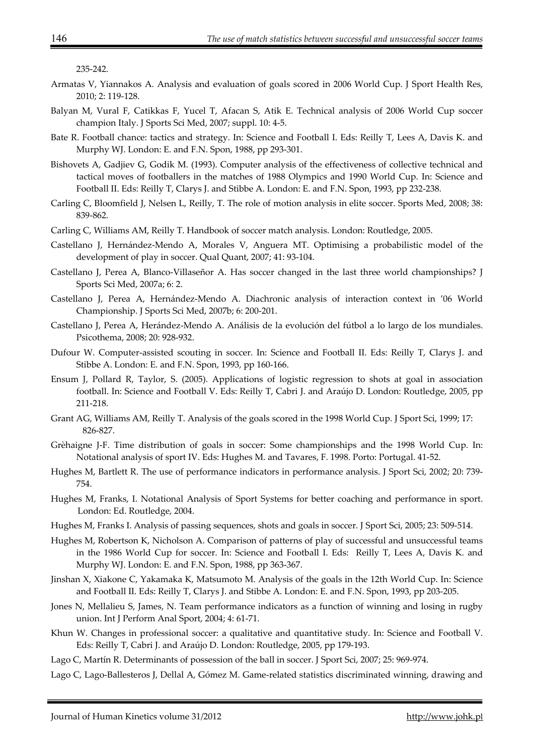235‐242.

- Armatas V, Yiannakos A. Analysis and evaluation of goals scored in 2006 World Cup. J Sport Health Res, 2010; 2: 119‐128.
- Balyan M, Vural F, Catikkas F, Yucel T, Afacan S, Atik E. Technical analysis of 2006 World Cup soccer champion Italy. J Sports Sci Med, 2007; suppl. 10: 4‐5.
- Bate R. Football chance: tactics and strategy. In: Science and Football I. Eds: Reilly T, Lees A, Davis K. and Murphy WJ. London: E. and F.N. Spon, 1988, pp 293‐301.
- Bishovets A, Gadjiev G, Godik M. (1993). Computer analysis of the effectiveness of collective technical and tactical moves of footballers in the matches of 1988 Olympics and 1990 World Cup. In: Science and Football II. Eds: Reilly T, Clarys J. and Stibbe A. London: E. and F.N. Spon, 1993, pp 232‐238.
- Carling C, Bloomfield J, Nelsen L, Reilly, T. The role of motion analysis in elite soccer. Sports Med, 2008; 38: 839‐862.
- Carling C, Williams AM, Reilly T. Handbook of soccer match analysis. London: Routledge, 2005.
- Castellano J, Hernández‐Mendo A, Morales V, Anguera MT. Optimising a probabilistic model of the development of play in soccer. Qual Quant, 2007; 41: 93‐104.
- Castellano J, Perea A, Blanco‐Villaseñor A. Has soccer changed in the last three world championships? J Sports Sci Med, 2007a; 6: 2.
- Castellano J, Perea A, Hernández‐Mendo A. Diachronic analysis of interaction context in '06 World Championship. J Sports Sci Med, 2007b; 6: 200‐201.
- Castellano J, Perea A, Herández‐Mendo A. Análisis de la evolución del fútbol a lo largo de los mundiales. Psicothema, 2008; 20: 928‐932.
- Dufour W. Computer-assisted scouting in soccer. In: Science and Football II. Eds: Reilly T, Clarys J. and Stibbe A. London: E. and F.N. Spon, 1993, pp 160‐166.
- Ensum J, Pollard R, Taylor, S. (2005). Applications of logistic regression to shots at goal in association football. In: Science and Football V. Eds: Reilly T, Cabri J. and Araújo D. London: Routledge, 2005, pp 211‐218.
- Grant AG, Williams AM, Reilly T. Analysis of the goals scored in the 1998 World Cup. J Sport Sci, 1999; 17: 826‐827.
- Grèhaigne J‐F. Time distribution of goals in soccer: Some championships and the 1998 World Cup. In: Notational analysis of sport IV. Eds: Hughes M. and Tavares, F. 1998. Porto: Portugal. 41‐52.
- Hughes M, Bartlett R. The use of performance indicators in performance analysis. J Sport Sci, 2002; 20: 739‐ 754.
- Hughes M, Franks, I. Notational Analysis of Sport Systems for better coaching and performance in sport. London: Ed. Routledge, 2004.
- Hughes M, Franks I. Analysis of passing sequences, shots and goals in soccer. J Sport Sci, 2005; 23: 509‐514.
- Hughes M, Robertson K, Nicholson A. Comparison of patterns of play of successful and unsuccessful teams in the 1986 World Cup for soccer. In: Science and Football I. Eds: Reilly T, Lees A, Davis K. and Murphy WJ. London: E. and F.N. Spon, 1988, pp 363‐367.
- Jinshan X, Xiakone C, Yakamaka K, Matsumoto M. Analysis of the goals in the 12th World Cup. In: Science and Football II. Eds: Reilly T, Clarys J. and Stibbe A. London: E. and F.N. Spon, 1993, pp 203‐205.
- Jones N, Mellalieu S, James, N. Team performance indicators as a function of winning and losing in rugby union. Int J Perform Anal Sport, 2004; 4: 61‐71.
- Khun W. Changes in professional soccer: a qualitative and quantitative study. In: Science and Football V. Eds: Reilly T, Cabri J. and Araújo D. London: Routledge, 2005, pp 179‐193.
- Lago C, Martín R. Determinants of possession of the ball in soccer. J Sport Sci, 2007; 25: 969-974.
- Lago C, Lago-Ballesteros J, Dellal A, Gómez M. Game-related statistics discriminated winning, drawing and